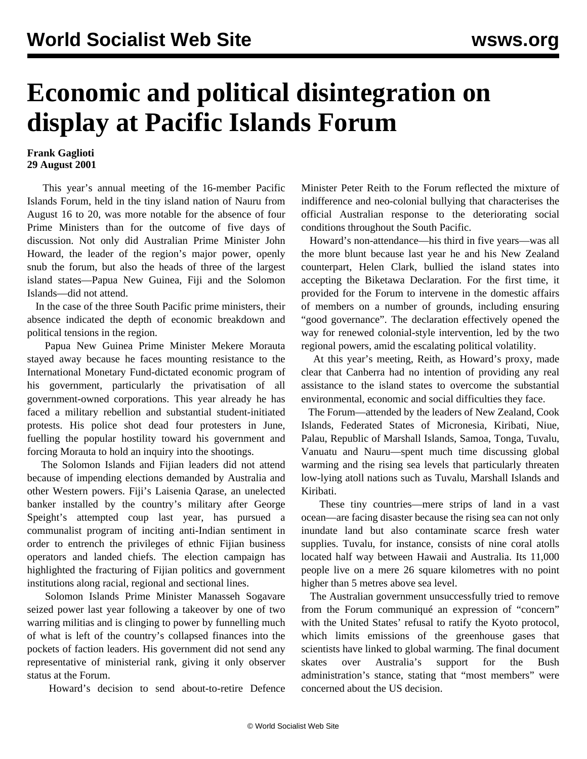## **Economic and political disintegration on display at Pacific Islands Forum**

## **Frank Gaglioti 29 August 2001**

 This year's annual meeting of the 16-member Pacific Islands Forum, held in the tiny island nation of Nauru from August 16 to 20, was more notable for the absence of four Prime Ministers than for the outcome of five days of discussion. Not only did Australian Prime Minister John Howard, the leader of the region's major power, openly snub the forum, but also the heads of three of the largest island states—Papua New Guinea, Fiji and the Solomon Islands—did not attend.

 In the case of the three South Pacific prime ministers, their absence indicated the depth of economic breakdown and political tensions in the region.

 Papua New Guinea Prime Minister Mekere Morauta stayed away because he faces mounting resistance to the International Monetary Fund-dictated economic program of his government, particularly the privatisation of all government-owned corporations. This year already he has faced a military rebellion and substantial student-initiated protests. His police shot dead four protesters in June, fuelling the popular hostility toward his government and forcing Morauta to hold an inquiry into the shootings.

 The Solomon Islands and Fijian leaders did not attend because of impending elections demanded by Australia and other Western powers. Fiji's Laisenia Qarase, an unelected banker installed by the country's military after George Speight's attempted coup last year, has pursued a communalist program of inciting anti-Indian sentiment in order to entrench the privileges of ethnic Fijian business operators and landed chiefs. The election campaign has highlighted the fracturing of Fijian politics and government institutions along racial, regional and sectional lines.

 Solomon Islands Prime Minister Manasseh Sogavare seized power last year following a takeover by one of two warring militias and is clinging to power by funnelling much of what is left of the country's collapsed finances into the pockets of faction leaders. His government did not send any representative of ministerial rank, giving it only observer status at the Forum.

Howard's decision to send about-to-retire Defence

Minister Peter Reith to the Forum reflected the mixture of indifference and neo-colonial bullying that characterises the official Australian response to the deteriorating social conditions throughout the South Pacific.

 Howard's non-attendance—his third in five years—was all the more blunt because last year he and his New Zealand counterpart, Helen Clark, bullied the island states into accepting the Biketawa Declaration. For the first time, it provided for the Forum to intervene in the domestic affairs of members on a number of grounds, including ensuring "good governance". The declaration effectively opened the way for renewed colonial-style intervention, led by the two regional powers, amid the escalating political volatility.

 At this year's meeting, Reith, as Howard's proxy, made clear that Canberra had no intention of providing any real assistance to the island states to overcome the substantial environmental, economic and social difficulties they face.

 The Forum—attended by the leaders of New Zealand, Cook Islands, Federated States of Micronesia, Kiribati, Niue, Palau, Republic of Marshall Islands, Samoa, Tonga, Tuvalu, Vanuatu and Nauru—spent much time discussing global warming and the rising sea levels that particularly threaten low-lying atoll nations such as Tuvalu, Marshall Islands and Kiribati.

 These tiny countries—mere strips of land in a vast ocean—are facing disaster because the rising sea can not only inundate land but also contaminate scarce fresh water supplies. Tuvalu, for instance, consists of nine coral atolls located half way between Hawaii and Australia. Its 11,000 people live on a mere 26 square kilometres with no point higher than 5 metres above sea level.

 The Australian government unsuccessfully tried to remove from the Forum communiqué an expression of "concern" with the United States' refusal to ratify the Kyoto protocol, which limits emissions of the greenhouse gases that scientists have linked to global warming. The final document skates over Australia's support for the Bush administration's stance, stating that "most members" were concerned about the US decision.